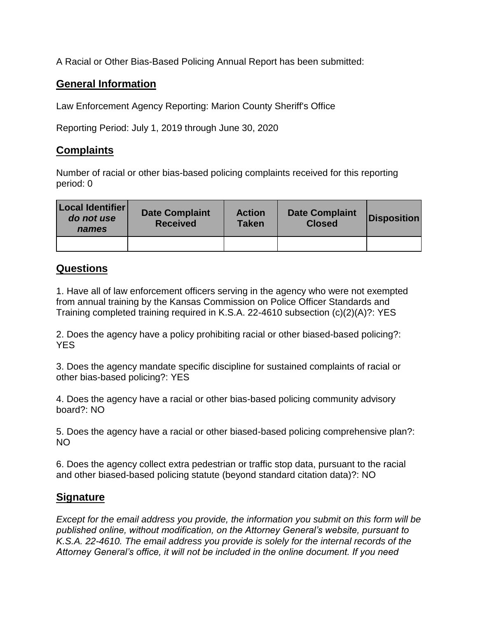A Racial or Other Bias-Based Policing Annual Report has been submitted:

## **General Information**

Law Enforcement Agency Reporting: Marion County Sheriff's Office

Reporting Period: July 1, 2019 through June 30, 2020

## **Complaints**

Number of racial or other bias-based policing complaints received for this reporting period: 0

| Local Identifier<br>do not use<br>names | <b>Date Complaint</b><br><b>Received</b> | <b>Action</b><br><b>Taken</b> | <b>Date Complaint</b><br><b>Closed</b> | <b>Disposition</b> |
|-----------------------------------------|------------------------------------------|-------------------------------|----------------------------------------|--------------------|
|                                         |                                          |                               |                                        |                    |

## **Questions**

1. Have all of law enforcement officers serving in the agency who were not exempted from annual training by the Kansas Commission on Police Officer Standards and Training completed training required in K.S.A. 22-4610 subsection (c)(2)(A)?: YES

2. Does the agency have a policy prohibiting racial or other biased-based policing?: YES

3. Does the agency mandate specific discipline for sustained complaints of racial or other bias-based policing?: YES

4. Does the agency have a racial or other bias-based policing community advisory board?: NO

5. Does the agency have a racial or other biased-based policing comprehensive plan?: NO

6. Does the agency collect extra pedestrian or traffic stop data, pursuant to the racial and other biased-based policing statute (beyond standard citation data)?: NO

## **Signature**

*Except for the email address you provide, the information you submit on this form will be published online, without modification, on the Attorney General's website, pursuant to K.S.A. 22-4610. The email address you provide is solely for the internal records of the Attorney General's office, it will not be included in the online document. If you need*